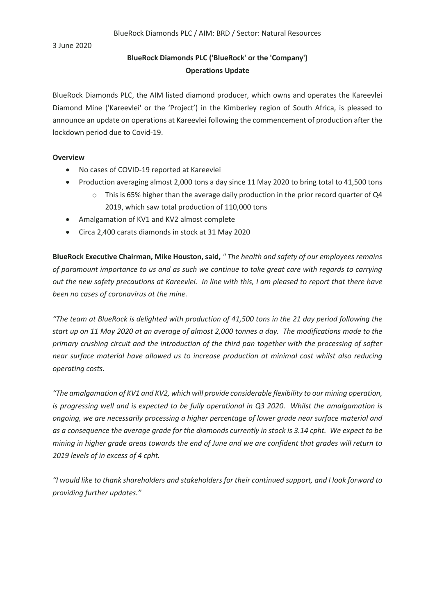3 June 2020

## **BlueRock Diamonds PLC ('BlueRock' or the 'Company') Operations Update**

BlueRock Diamonds PLC, the AIM listed diamond producer, which owns and operates the Kareevlei Diamond Mine ('Kareevlei' or the 'Project') in the Kimberley region of South Africa, is pleased to announce an update on operations at Kareevlei following the commencement of production after the lockdown period due to Covid-19.

## **Overview**

- No cases of COVID-19 reported at Kareevlei
- Production averaging almost 2,000 tons a day since 11 May 2020 to bring total to 41,500 tons
	- $\circ$  This is 65% higher than the average daily production in the prior record quarter of Q4 2019, which saw total production of 110,000 tons
- Amalgamation of KV1 and KV2 almost complete
- Circa 2,400 carats diamonds in stock at 31 May 2020

**BlueRock Executive Chairman, Mike Houston, said,** *" The health and safety of our employees remains of paramount importance to us and as such we continue to take great care with regards to carrying out the new safety precautions at Kareevlei. In line with this, I am pleased to report that there have been no cases of coronavirus at the mine.* 

*"The team at BlueRock is delighted with production of 41,500 tons in the 21 day period following the start up on 11 May 2020 at an average of almost 2,000 tonnes a day. The modifications made to the primary crushing circuit and the introduction of the third pan together with the processing of softer near surface material have allowed us to increase production at minimal cost whilst also reducing operating costs.*

*"The amalgamation of KV1 and KV2, which will provide considerable flexibility to our mining operation, is progressing well and is expected to be fully operational in Q3 2020. Whilst the amalgamation is ongoing, we are necessarily processing a higher percentage of lower grade near surface material and as a consequence the average grade for the diamonds currently in stock is 3.14 cpht. We expect to be mining in higher grade areas towards the end of June and we are confident that grades will return to 2019 levels of in excess of 4 cpht.*

*"I would like to thank shareholders and stakeholders for their continued support, and I look forward to providing further updates."*